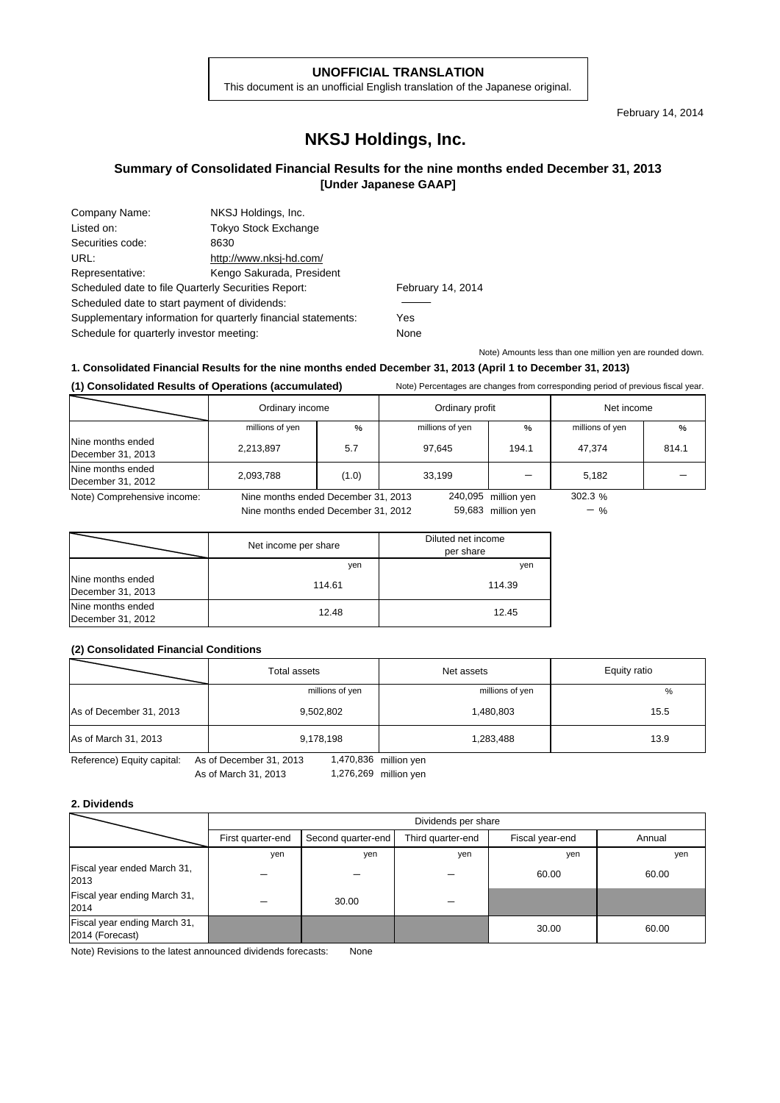#### **UNOFFICIAL TRANSLATION**

This document is an unofficial English translation of the Japanese original.

February 14, 2014

## **NKSJ Holdings, Inc.**

## **Summary of Consolidated Financial Results for the nine months ended December 31, 2013 [Under Japanese GAAP]**

| Company Name:                                                 | NKSJ Holdings, Inc.         |                   |
|---------------------------------------------------------------|-----------------------------|-------------------|
| Listed on:                                                    | <b>Tokyo Stock Exchange</b> |                   |
| Securities code:                                              | 8630                        |                   |
| URL:                                                          | http://www.nksj-hd.com/     |                   |
| Representative:                                               | Kengo Sakurada, President   |                   |
| Scheduled date to file Quarterly Securities Report:           |                             | February 14, 2014 |
| Scheduled date to start payment of dividends:                 |                             |                   |
| Supplementary information for quarterly financial statements: | Yes                         |                   |
| Schedule for quarterly investor meeting:                      |                             | None              |

Note) Amounts less than one million yen are rounded down.

 $-$  %

## **1. Consolidated Financial Results for the nine months ended December 31, 2013 (April 1 to December 31, 2013)**

### **(1) Consolidated Results of Operations (accumulated)** Note) Percentages are changes from corresponding period of previous fiscal year.

|                                        | Ordinary income<br>Ordinary profit  |       |                 | Net income          |                 |       |
|----------------------------------------|-------------------------------------|-------|-----------------|---------------------|-----------------|-------|
|                                        | millions of yen                     | $\%$  | millions of yen | $\frac{0}{0}$       | millions of yen | %     |
| Nine months ended<br>December 31, 2013 | 2,213,897                           | 5.7   | 97.645          | 194.1               | 47.374          | 814.1 |
| Nine months ended<br>December 31, 2012 | 2,093,788                           | (1.0) | 33.199          |                     | 5,182           |       |
| Note) Comprehensive income:            | Nine months ended December 31, 2013 |       |                 | 240,095 million yen | 302.3%          |       |

Nine months ended December 31, 2012

59,683 million yen

|                                        | Net income per share | Diluted net income<br>per share |
|----------------------------------------|----------------------|---------------------------------|
|                                        | yen                  | yen                             |
| Nine months ended<br>December 31, 2013 | 114.61               | 114.39                          |
| Nine months ended<br>December 31, 2012 | 12.48                | 12.45                           |

### **(2) Consolidated Financial Conditions**

|                            | Total assets<br>Net assets |                       | Equity ratio |
|----------------------------|----------------------------|-----------------------|--------------|
|                            | millions of yen            | millions of yen       | %            |
| As of December 31, 2013    | 9,502,802                  | 1,480,803             | 15.5         |
| As of March 31, 2013       | 9,178,198                  | 1,283,488             | 13.9         |
| Reference) Equity capital: | As of December 31, 2013    | 1,470,836 million yen |              |

Reference) Equity capital: As of December 31, 2013

As of March 31, 2013 1,276,269 million yen

#### **2. Dividends**

|                                                 | Dividends per share |                    |                   |                 |        |
|-------------------------------------------------|---------------------|--------------------|-------------------|-----------------|--------|
|                                                 | First quarter-end   | Second quarter-end | Third quarter-end | Fiscal year-end | Annual |
|                                                 | yen                 | yen                | yen               | yen             | yen    |
| Fiscal year ended March 31,<br>2013             |                     |                    |                   | 60.00           | 60.00  |
| Fiscal year ending March 31,<br>2014            |                     | 30.00              |                   |                 |        |
| Fiscal year ending March 31,<br>2014 (Forecast) |                     |                    |                   | 30.00           | 60.00  |

Note) Revisions to the latest announced dividends forecasts: None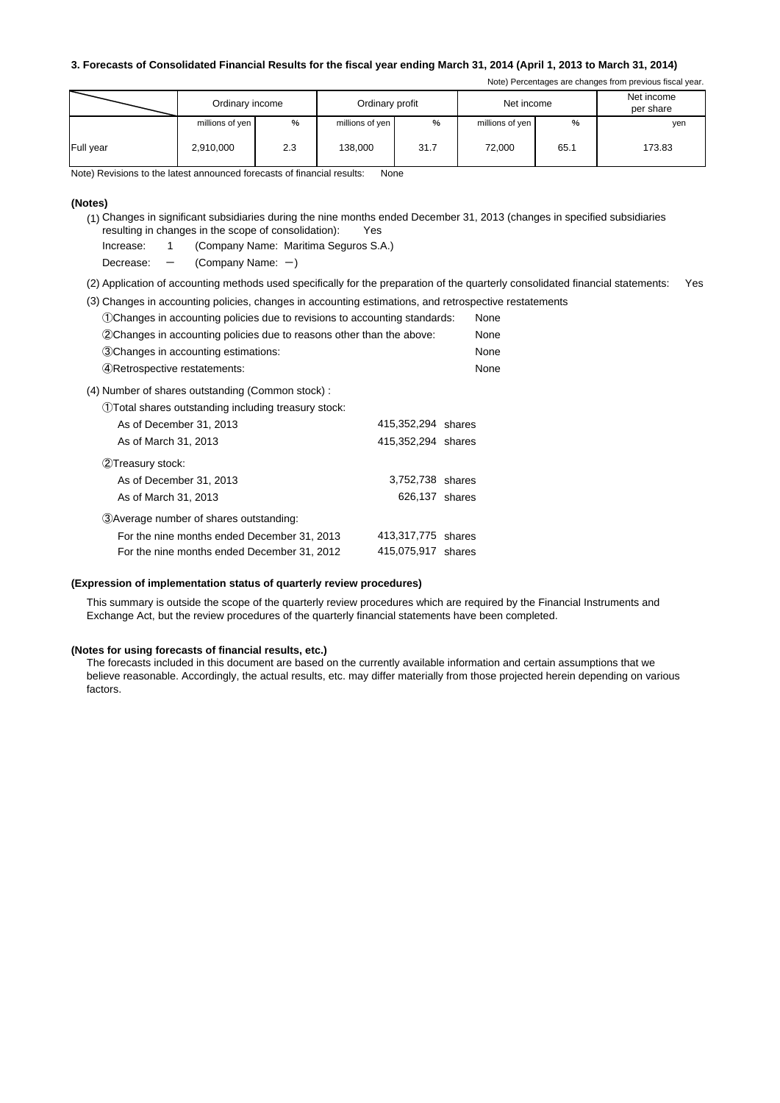#### **3. Forecasts of Consolidated Financial Results for the fiscal year ending March 31, 2014 (April 1, 2013 to March 31, 2014)**

Note) Percentages are changes from previous fiscal year.

|           | Ordinary income |      | Ordinary profit |      | Net income      |      | Net income<br>per share |
|-----------|-----------------|------|-----------------|------|-----------------|------|-------------------------|
|           | millions of yen | $\%$ | millions of yen | %    | millions of yen | %    | yen                     |
| Full year | 2,910,000       | 2.3  | 138,000         | 31.7 | 72,000          | 65.1 | 173.83                  |

Note) Revisions to the latest announced forecasts of financial results: None

#### **(Notes)**

- (1) Changes in significant subsidiaries during the nine months ended December 31, 2013 (changes in specified subsidiaries resulting in changes in the scope of consolidation): Yes
	- Increase: 1 (Company Name: Maritima Seguros S.A.)
	- Decrease:  $-$  (Company Name:  $-$ )
- (2) Application of accounting methods used specifically for the preparation of the quarterly consolidated financial statements: Yes
- (3) Changes in accounting policies, changes in accounting estimations, and retrospective restatements

| (1) Changes in accounting policies due to revisions to accounting standards: |                    | None |
|------------------------------------------------------------------------------|--------------------|------|
| (2) Changes in accounting policies due to reasons other than the above:      |                    | None |
| 3 Changes in accounting estimations:                                         |                    | None |
| (4) Retrospective restatements:                                              |                    | None |
| (4) Number of shares outstanding (Common stock):                             |                    |      |
| (1) Total shares outstanding including treasury stock:                       |                    |      |
| As of December 31, 2013                                                      | 415,352,294 shares |      |
| As of March 31, 2013                                                         | 415,352,294 shares |      |
| 2 Treasury stock:                                                            |                    |      |
| As of December 31, 2013                                                      | 3,752,738 shares   |      |
| As of March 31, 2013                                                         | 626,137 shares     |      |
| 3) Average number of shares outstanding:                                     |                    |      |
| For the nine months ended December 31, 2013                                  | 413,317,775 shares |      |
| For the nine months ended December 31, 2012                                  | 415,075,917 shares |      |

#### **(Expression of implementation status of quarterly review procedures)**

This summary is outside the scope of the quarterly review procedures which are required by the Financial Instruments and Exchange Act, but the review procedures of the quarterly financial statements have been completed.

#### **(Notes for using forecasts of financial results, etc.)**

The forecasts included in this document are based on the currently available information and certain assumptions that we believe reasonable. Accordingly, the actual results, etc. may differ materially from those projected herein depending on various factors.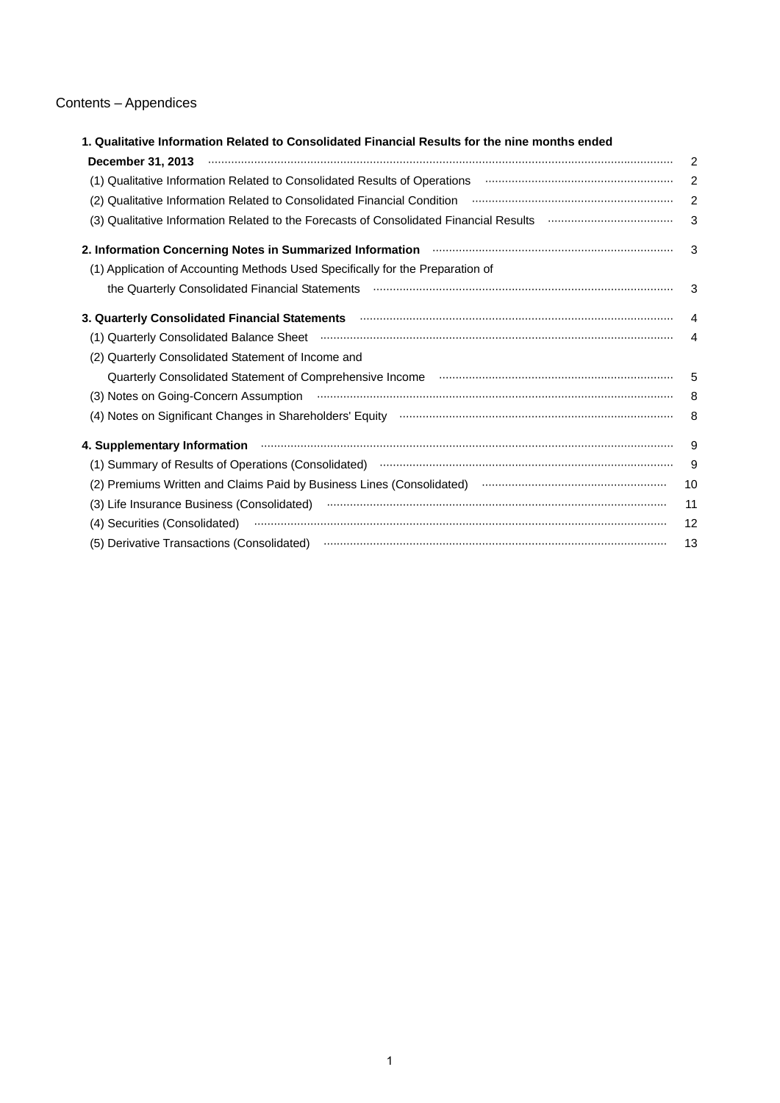## Contents – Appendices

| 1. Qualitative Information Related to Consolidated Financial Results for the nine months ended                                                                                                                                      |                         |
|-------------------------------------------------------------------------------------------------------------------------------------------------------------------------------------------------------------------------------------|-------------------------|
|                                                                                                                                                                                                                                     | $\overline{2}$          |
| (1) Qualitative Information Related to Consolidated Results of Operations <b>manually construct in the Information</b>                                                                                                              | 2                       |
| (2) Qualitative Information Related to Consolidated Financial Condition manufacture intermedition and the intermediation                                                                                                            | $\overline{2}$          |
| (3) Qualitative Information Related to the Forecasts of Consolidated Financial Results <b>multimetary construents</b>                                                                                                               | 3                       |
| 2. Information Concerning Notes in Summarized Information <b>manufacture in the Concerning Notes</b> in Summarized Information <b>manufacture</b>                                                                                   | -3                      |
| (1) Application of Accounting Methods Used Specifically for the Preparation of                                                                                                                                                      |                         |
|                                                                                                                                                                                                                                     | $\overline{\mathbf{3}}$ |
|                                                                                                                                                                                                                                     |                         |
|                                                                                                                                                                                                                                     | $\overline{4}$          |
| (2) Quarterly Consolidated Statement of Income and                                                                                                                                                                                  |                         |
|                                                                                                                                                                                                                                     |                         |
|                                                                                                                                                                                                                                     |                         |
|                                                                                                                                                                                                                                     | - 8                     |
|                                                                                                                                                                                                                                     | - 9                     |
|                                                                                                                                                                                                                                     | 9                       |
| (2) Premiums Written and Claims Paid by Business Lines (Consolidated) manual manufacture manufacture 10                                                                                                                             |                         |
|                                                                                                                                                                                                                                     | 11                      |
|                                                                                                                                                                                                                                     | 12                      |
| (5) Derivative Transactions (Consolidated) <b>multimeral constructions</b> contains an analyzing construction of the construction of the construction of the construction of the construction of the construction of the constructi | 13                      |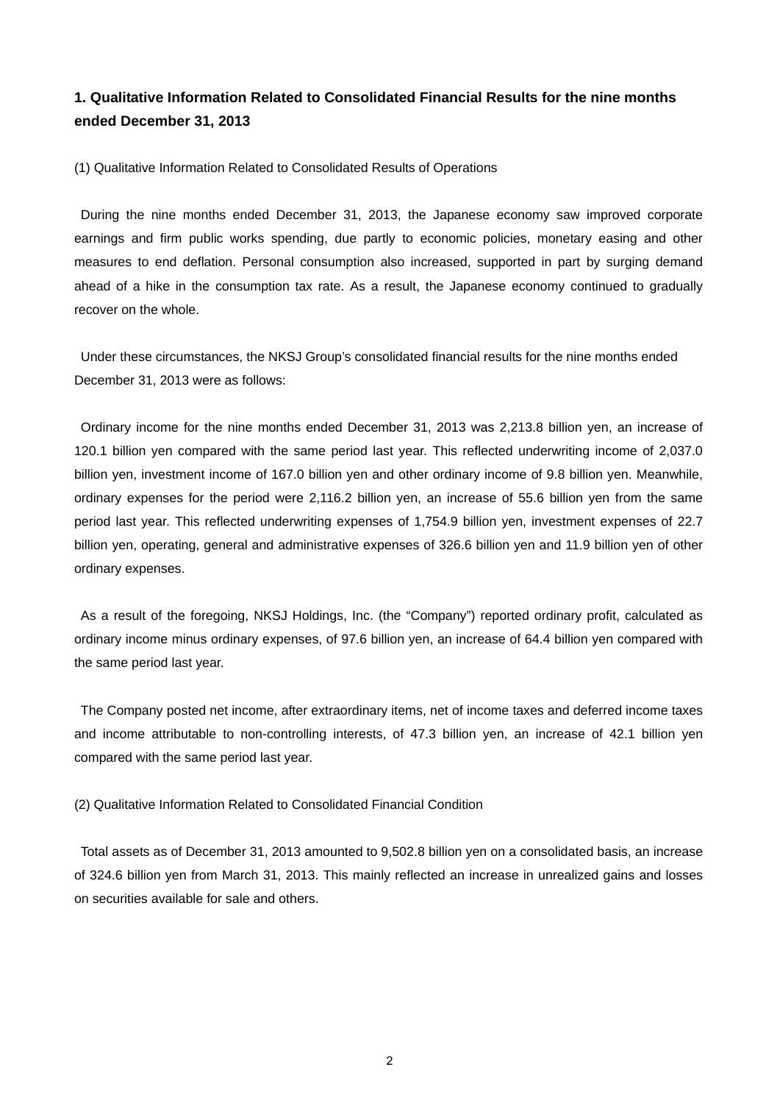## **1. Qualitative Information Related to Consolidated Financial Results for the nine months ended December 31, 2013**

(1) Qualitative Information Related to Consolidated Results of Operations

During the nine months ended December 31, 2013, the Japanese economy saw improved corporate earnings and firm public works spending, due partly to economic policies, monetary easing and other measures to end deflation. Personal consumption also increased, supported in part by surging demand ahead of a hike in the consumption tax rate. As a result, the Japanese economy continued to gradually recover on the whole.

Under these circumstances, the NKSJ Group's consolidated financial results for the nine months ended December 31, 2013 were as follows:

Ordinary income for the nine months ended December 31, 2013 was 2,213.8 billion yen, an increase of 120.1 billion yen compared with the same period last year. This reflected underwriting income of 2,037.0 billion yen, investment income of 167.0 billion yen and other ordinary income of 9.8 billion yen. Meanwhile, ordinary expenses for the period were 2,116.2 billion yen, an increase of 55.6 billion yen from the same period last year. This reflected underwriting expenses of 1,754.9 billion yen, investment expenses of 22.7 billion yen, operating, general and administrative expenses of 326.6 billion yen and 11.9 billion yen of other ordinary expenses.

As a result of the foregoing, NKSJ Holdings, Inc. (the "Company") reported ordinary profit, calculated as ordinary income minus ordinary expenses, of 97.6 billion yen, an increase of 64.4 billion yen compared with the same period last year.

The Company posted net income, after extraordinary items, net of income taxes and deferred income taxes and income attributable to non-controlling interests, of 47.3 billion yen, an increase of 42.1 billion yen compared with the same period last year.

(2) Qualitative Information Related to Consolidated Financial Condition

Total assets as of December 31, 2013 amounted to 9,502.8 billion yen on a consolidated basis, an increase of 324.6 billion yen from March 31, 2013. This mainly reflected an increase in unrealized gains and losses on securities available for sale and others.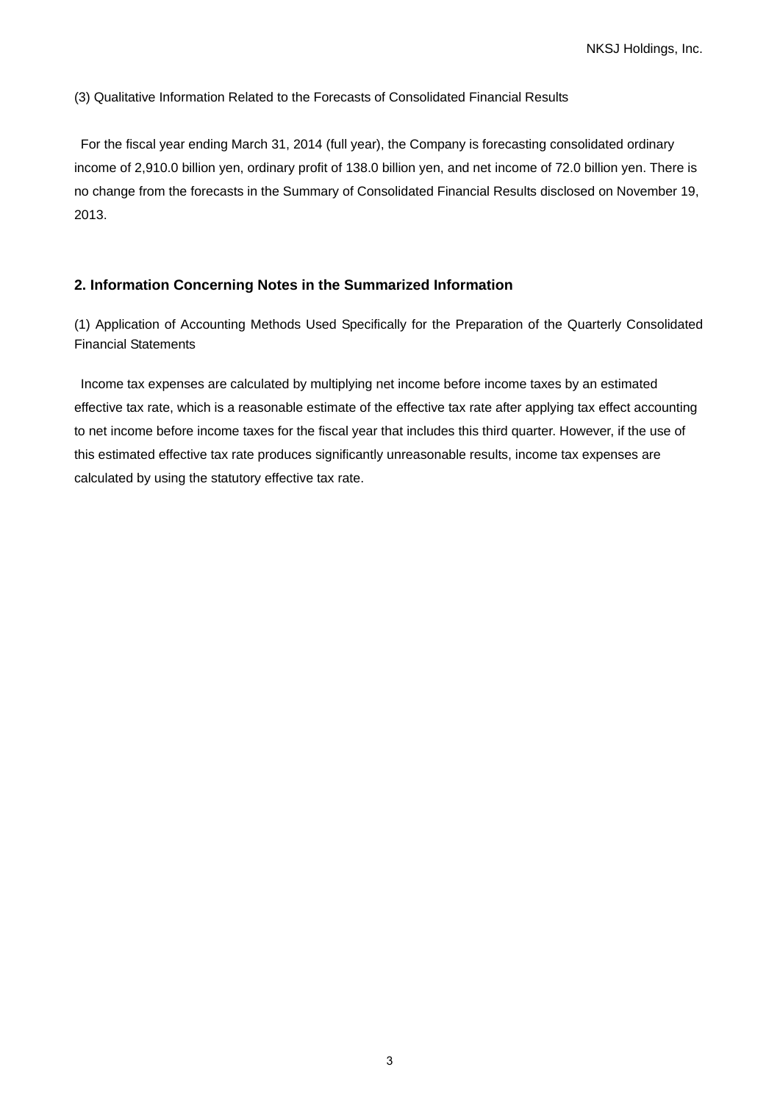(3) Qualitative Information Related to the Forecasts of Consolidated Financial Results

For the fiscal year ending March 31, 2014 (full year), the Company is forecasting consolidated ordinary income of 2,910.0 billion yen, ordinary profit of 138.0 billion yen, and net income of 72.0 billion yen. There is no change from the forecasts in the Summary of Consolidated Financial Results disclosed on November 19, 2013.

## **2. Information Concerning Notes in the Summarized Information**

(1) Application of Accounting Methods Used Specifically for the Preparation of the Quarterly Consolidated Financial Statements

Income tax expenses are calculated by multiplying net income before income taxes by an estimated effective tax rate, which is a reasonable estimate of the effective tax rate after applying tax effect accounting to net income before income taxes for the fiscal year that includes this third quarter. However, if the use of this estimated effective tax rate produces significantly unreasonable results, income tax expenses are calculated by using the statutory effective tax rate.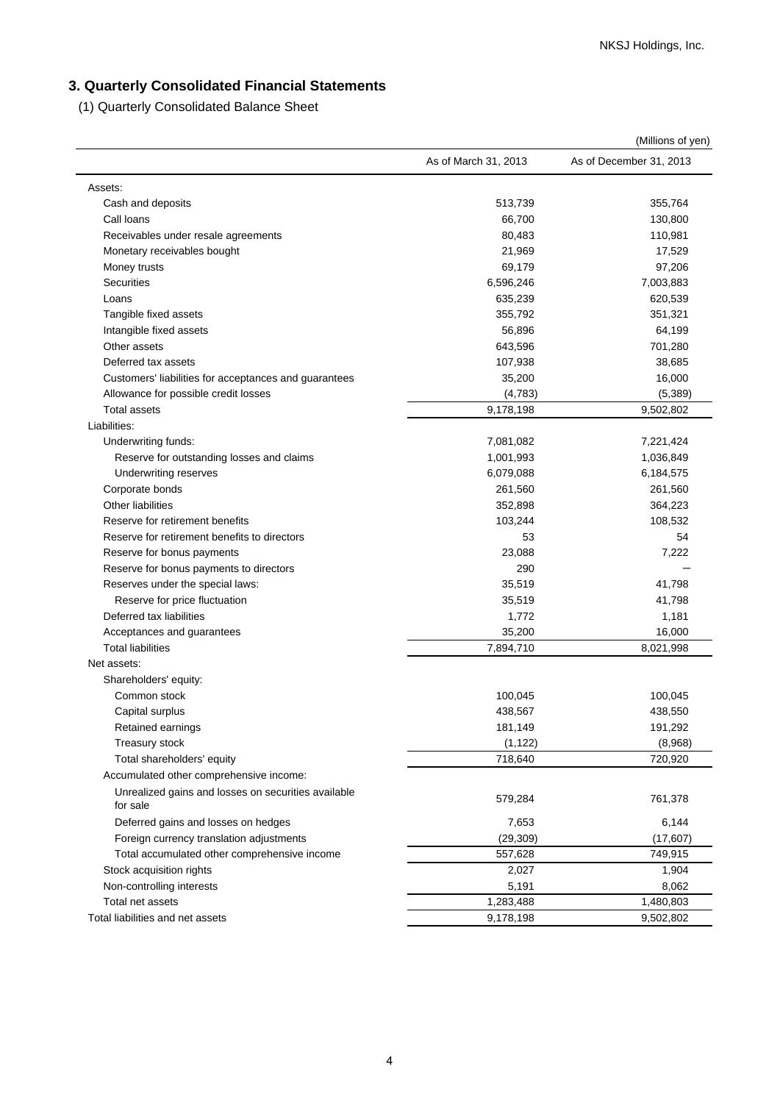## **3. Quarterly Consolidated Financial Statements**

(1) Quarterly Consolidated Balance Sheet

|                                                       |                      | (Millions of yen)       |
|-------------------------------------------------------|----------------------|-------------------------|
|                                                       | As of March 31, 2013 | As of December 31, 2013 |
| Assets:                                               |                      |                         |
| Cash and deposits                                     | 513,739              | 355,764                 |
| Call loans                                            | 66,700               | 130,800                 |
| Receivables under resale agreements                   | 80,483               | 110,981                 |
| Monetary receivables bought                           | 21,969               | 17,529                  |
| Money trusts                                          | 69,179               | 97,206                  |
| <b>Securities</b>                                     | 6,596,246            | 7,003,883               |
| Loans                                                 | 635,239              | 620,539                 |
| Tangible fixed assets                                 | 355,792              | 351,321                 |
| Intangible fixed assets                               | 56,896               | 64,199                  |
| Other assets                                          | 643,596              | 701,280                 |
| Deferred tax assets                                   | 107,938              | 38,685                  |
| Customers' liabilities for acceptances and guarantees | 35,200               | 16,000                  |
| Allowance for possible credit losses                  | (4,783)              | (5, 389)                |
| <b>Total assets</b>                                   | 9,178,198            | 9,502,802               |
| Liabilities:                                          |                      |                         |
| Underwriting funds:                                   | 7,081,082            | 7,221,424               |
| Reserve for outstanding losses and claims             | 1,001,993            | 1,036,849               |
| <b>Underwriting reserves</b>                          | 6,079,088            | 6,184,575               |
| Corporate bonds                                       | 261,560              | 261,560                 |
| <b>Other liabilities</b>                              | 352,898              | 364,223                 |
| Reserve for retirement benefits                       | 103,244              | 108,532                 |
| Reserve for retirement benefits to directors          | 53                   | 54                      |
| Reserve for bonus payments                            | 23,088               | 7,222                   |
| Reserve for bonus payments to directors               | 290                  |                         |
| Reserves under the special laws:                      | 35,519               | 41,798                  |
| Reserve for price fluctuation                         | 35,519               | 41,798                  |
| Deferred tax liabilities                              | 1,772                | 1,181                   |
| Acceptances and guarantees                            | 35,200               | 16,000                  |
| <b>Total liabilities</b>                              | 7,894,710            | 8,021,998               |
| Net assets:                                           |                      |                         |
| Shareholders' equity:                                 |                      |                         |
| Common stock                                          | 100,045              | 100,045                 |
| Capital surplus                                       | 438,567              | 438,550                 |
| Retained earnings                                     | 181,149              | 191,292                 |
| Treasury stock                                        | (1, 122)             | (8,968)                 |
| Total shareholders' equity                            | 718,640              | 720,920                 |
| Accumulated other comprehensive income:               |                      |                         |
| Unrealized gains and losses on securities available   |                      |                         |
| for sale                                              | 579,284              | 761,378                 |
| Deferred gains and losses on hedges                   | 7,653                | 6,144                   |
| Foreign currency translation adjustments              | (29, 309)            | (17,607)                |
| Total accumulated other comprehensive income          | 557,628              | 749,915                 |
| Stock acquisition rights                              | 2,027                | 1,904                   |
| Non-controlling interests                             | 5,191                | 8,062                   |
| Total net assets                                      | 1,283,488            | 1,480,803               |
| Total liabilities and net assets                      | 9,178,198            | 9,502,802               |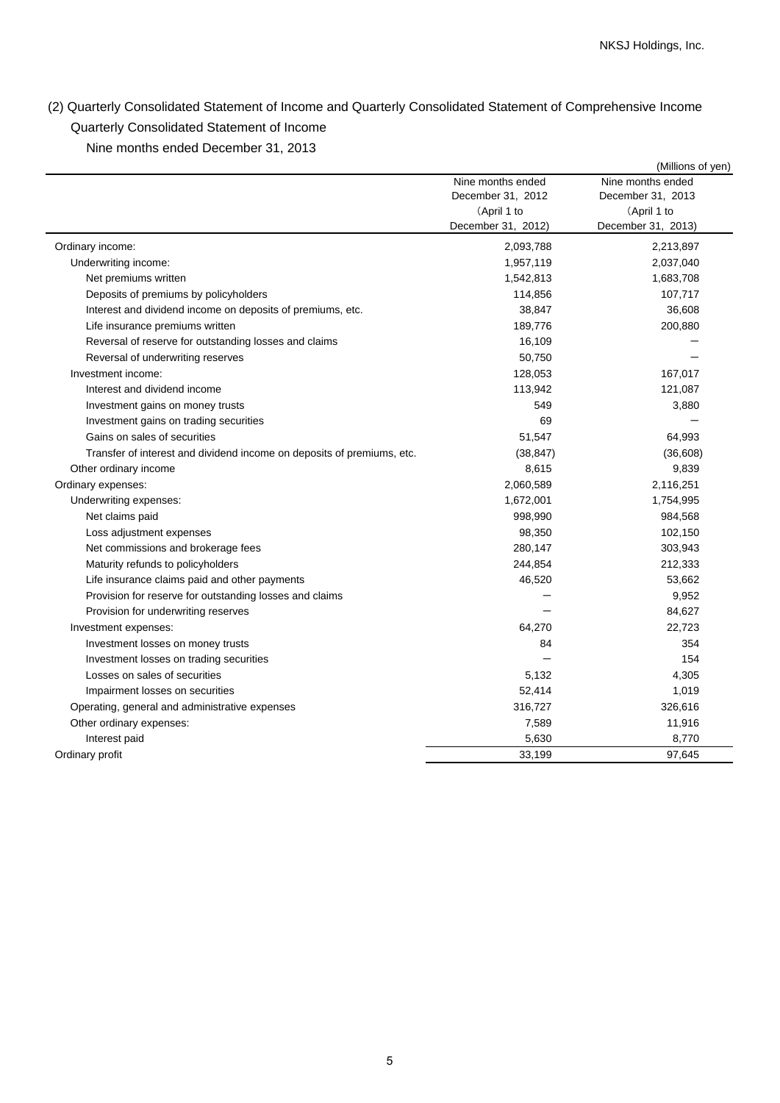(2) Quarterly Consolidated Statement of Income and Quarterly Consolidated Statement of Comprehensive Income Quarterly Consolidated Statement of Income

Nine months ended December 31, 2013

|                                                                        |                                                                             | (Millions of yen)                                                           |
|------------------------------------------------------------------------|-----------------------------------------------------------------------------|-----------------------------------------------------------------------------|
|                                                                        | Nine months ended<br>December 31, 2012<br>(April 1 to<br>December 31, 2012) | Nine months ended<br>December 31, 2013<br>(April 1 to<br>December 31, 2013) |
| Ordinary income:                                                       | 2,093,788                                                                   | 2,213,897                                                                   |
| Underwriting income:                                                   | 1,957,119                                                                   | 2,037,040                                                                   |
| Net premiums written                                                   | 1,542,813                                                                   | 1,683,708                                                                   |
| Deposits of premiums by policyholders                                  | 114,856                                                                     | 107,717                                                                     |
| Interest and dividend income on deposits of premiums, etc.             | 38,847                                                                      | 36,608                                                                      |
| Life insurance premiums written                                        | 189,776                                                                     | 200,880                                                                     |
| Reversal of reserve for outstanding losses and claims                  | 16,109                                                                      |                                                                             |
| Reversal of underwriting reserves                                      | 50,750                                                                      |                                                                             |
| Investment income:                                                     | 128,053                                                                     | 167,017                                                                     |
| Interest and dividend income                                           | 113,942                                                                     | 121,087                                                                     |
| Investment gains on money trusts                                       | 549                                                                         | 3,880                                                                       |
| Investment gains on trading securities                                 | 69                                                                          |                                                                             |
| Gains on sales of securities                                           | 51,547                                                                      | 64,993                                                                      |
| Transfer of interest and dividend income on deposits of premiums, etc. | (38, 847)                                                                   | (36, 608)                                                                   |
| Other ordinary income                                                  | 8,615                                                                       | 9,839                                                                       |
| Ordinary expenses:                                                     | 2,060,589                                                                   | 2,116,251                                                                   |
| Underwriting expenses:                                                 | 1,672,001                                                                   | 1,754,995                                                                   |
| Net claims paid                                                        | 998,990                                                                     | 984,568                                                                     |
| Loss adjustment expenses                                               | 98,350                                                                      | 102,150                                                                     |
| Net commissions and brokerage fees                                     | 280,147                                                                     | 303,943                                                                     |
| Maturity refunds to policyholders                                      | 244,854                                                                     | 212,333                                                                     |
| Life insurance claims paid and other payments                          | 46,520                                                                      | 53,662                                                                      |
| Provision for reserve for outstanding losses and claims                |                                                                             | 9,952                                                                       |
| Provision for underwriting reserves                                    |                                                                             | 84,627                                                                      |
| Investment expenses:                                                   | 64,270                                                                      | 22,723                                                                      |
| Investment losses on money trusts                                      | 84                                                                          | 354                                                                         |
| Investment losses on trading securities                                |                                                                             | 154                                                                         |
| Losses on sales of securities                                          | 5,132                                                                       | 4,305                                                                       |
| Impairment losses on securities                                        | 52,414                                                                      | 1,019                                                                       |
| Operating, general and administrative expenses                         | 316,727                                                                     | 326,616                                                                     |
| Other ordinary expenses:                                               | 7,589                                                                       | 11,916                                                                      |
| Interest paid                                                          | 5,630                                                                       | 8,770                                                                       |
| Ordinary profit                                                        | 33,199                                                                      | 97,645                                                                      |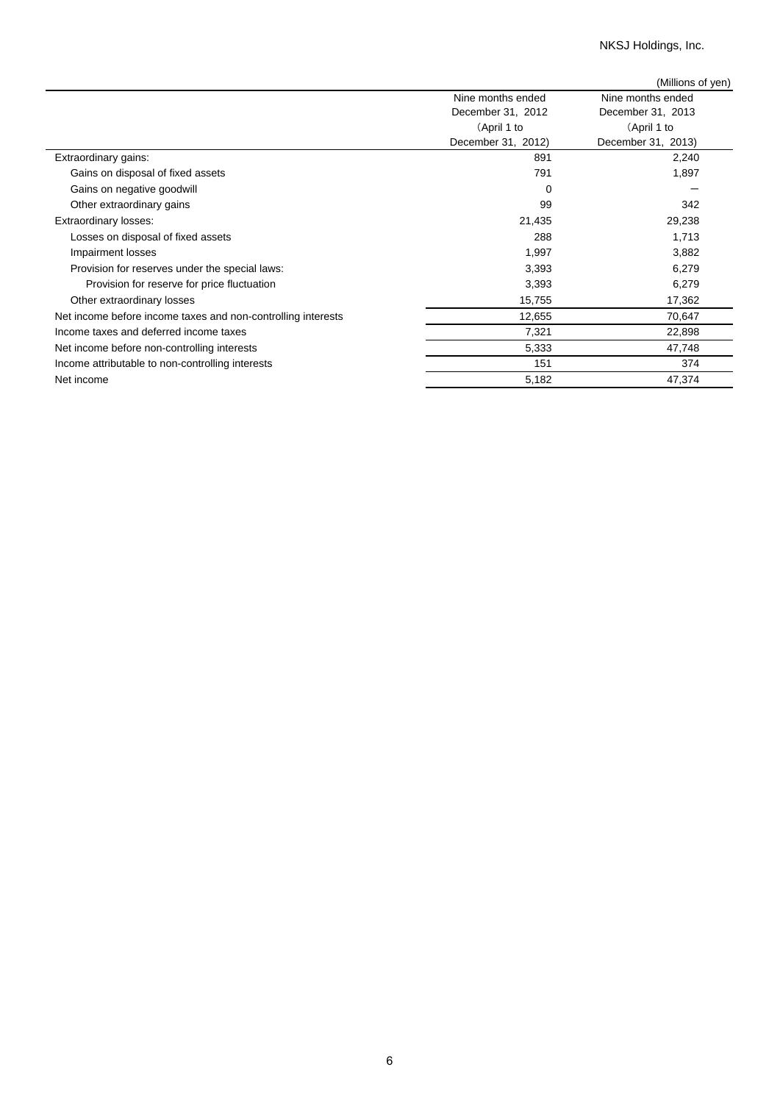NKSJ Holdings, Inc.

|                                                              |                    | (Millions of yen)  |
|--------------------------------------------------------------|--------------------|--------------------|
|                                                              | Nine months ended  | Nine months ended  |
|                                                              | December 31, 2012  | December 31, 2013  |
|                                                              | (April 1 to        | (April 1 to        |
|                                                              | December 31, 2012) | December 31, 2013) |
| Extraordinary gains:                                         | 891                | 2,240              |
| Gains on disposal of fixed assets                            | 791                | 1,897              |
| Gains on negative goodwill                                   | $\Omega$           |                    |
| Other extraordinary gains                                    | 99                 | 342                |
| Extraordinary losses:                                        | 21,435             | 29,238             |
| Losses on disposal of fixed assets                           | 288                | 1,713              |
| Impairment losses                                            | 1,997              | 3,882              |
| Provision for reserves under the special laws:               | 3,393              | 6,279              |
| Provision for reserve for price fluctuation                  | 3,393              | 6,279              |
| Other extraordinary losses                                   | 15,755             | 17,362             |
| Net income before income taxes and non-controlling interests | 12,655             | 70,647             |
| Income taxes and deferred income taxes                       | 7,321              | 22,898             |
| Net income before non-controlling interests                  | 5,333              | 47,748             |
| Income attributable to non-controlling interests             | 151                | 374                |
| Net income                                                   | 5,182              | 47,374             |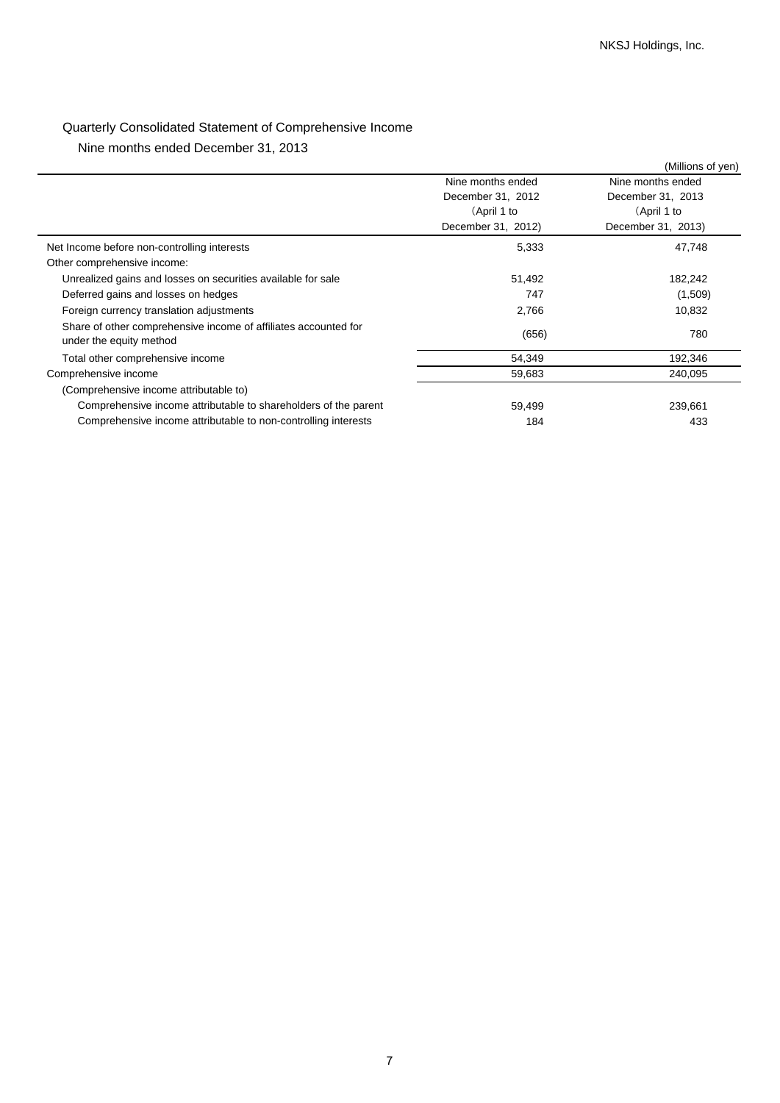## Quarterly Consolidated Statement of Comprehensive Income

Nine months ended December 31, 2013

|                                                                                            |                    | (Millions of yen)  |
|--------------------------------------------------------------------------------------------|--------------------|--------------------|
|                                                                                            | Nine months ended  | Nine months ended  |
|                                                                                            | December 31, 2012  | December 31, 2013  |
|                                                                                            | (April 1 to        | (April 1 to        |
|                                                                                            | December 31, 2012) | December 31, 2013) |
| Net Income before non-controlling interests                                                | 5,333              | 47,748             |
| Other comprehensive income:                                                                |                    |                    |
| Unrealized gains and losses on securities available for sale                               | 51,492             | 182,242            |
| Deferred gains and losses on hedges                                                        | 747                | (1,509)            |
| Foreign currency translation adjustments                                                   | 2,766              | 10,832             |
| Share of other comprehensive income of affiliates accounted for<br>under the equity method | (656)              | 780                |
| Total other comprehensive income                                                           | 54,349             | 192,346            |
| Comprehensive income                                                                       | 59,683             | 240,095            |
| (Comprehensive income attributable to)                                                     |                    |                    |
| Comprehensive income attributable to shareholders of the parent                            | 59,499             | 239,661            |
| Comprehensive income attributable to non-controlling interests                             | 184                | 433                |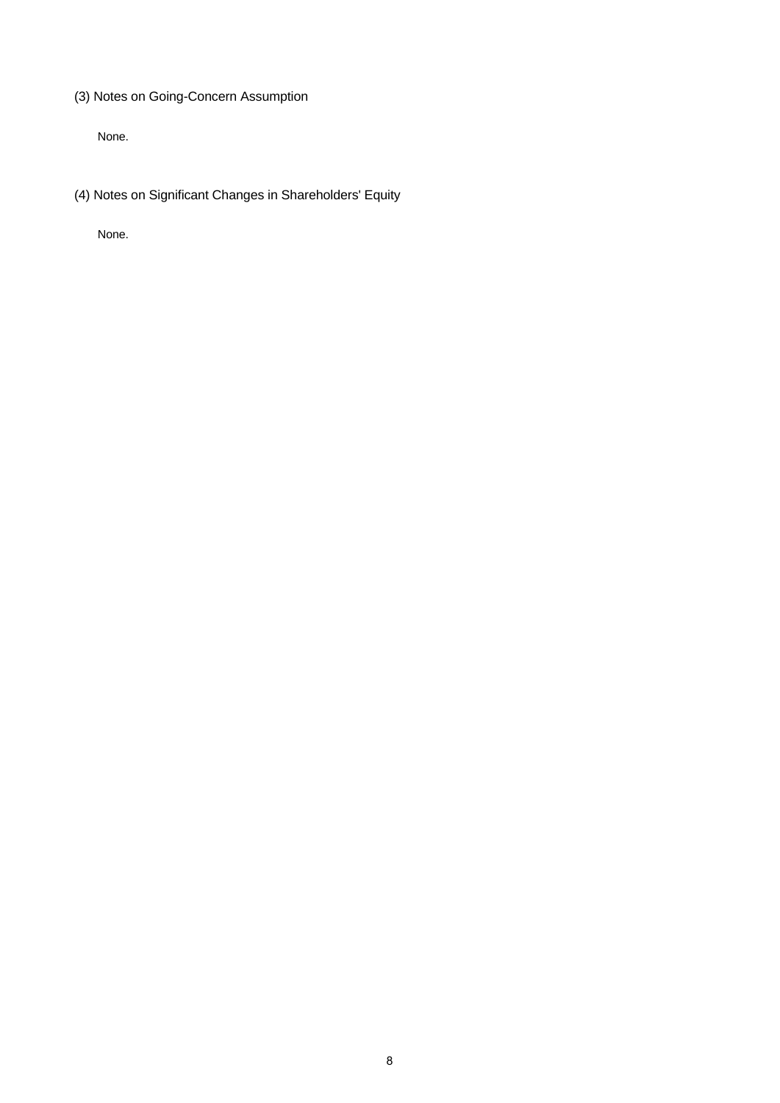(3) Notes on Going-Concern Assumption

None.

(4) Notes on Significant Changes in Shareholders' Equity

None.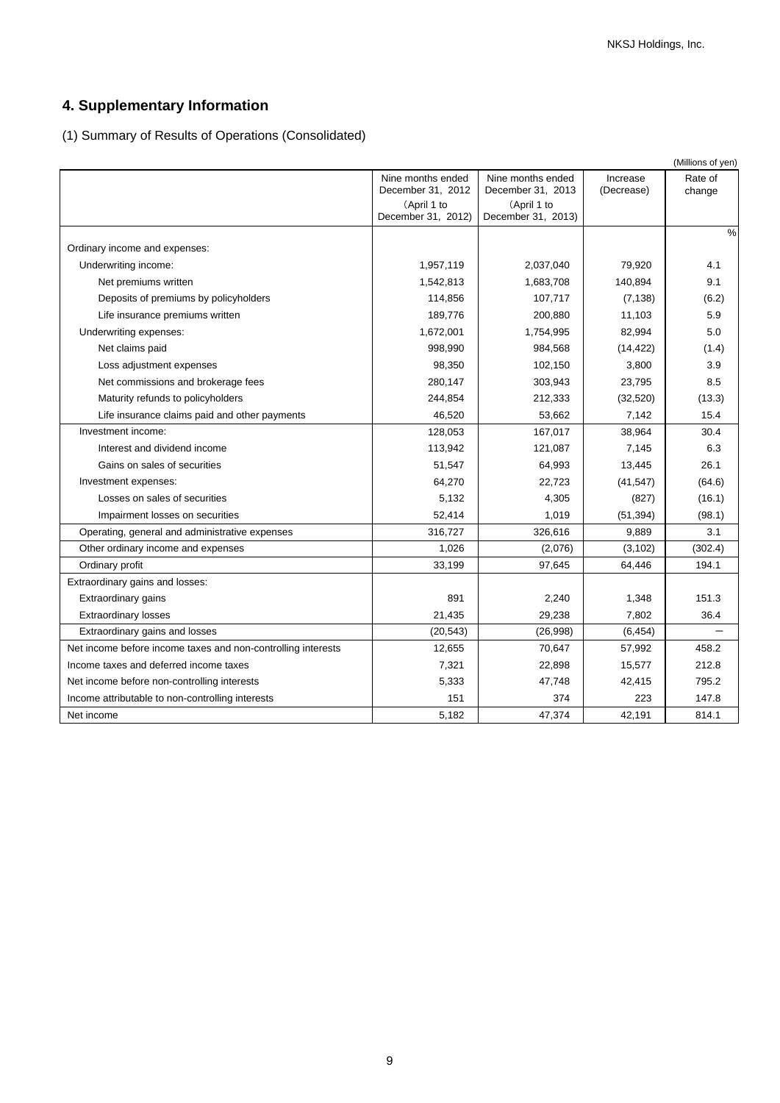# **4. Supplementary Information**

(1) Summary of Results of Operations (Consolidated)

|                                                              |                                        |                                        |                        | (Millions of yen) |
|--------------------------------------------------------------|----------------------------------------|----------------------------------------|------------------------|-------------------|
|                                                              | Nine months ended<br>December 31, 2012 | Nine months ended<br>December 31, 2013 | Increase<br>(Decrease) | Rate of<br>change |
|                                                              | (April 1 to<br>December 31, 2012)      | (April 1 to<br>December 31, 2013)      |                        |                   |
| Ordinary income and expenses:                                |                                        |                                        |                        | $\frac{0}{0}$     |
| Underwriting income:                                         | 1,957,119                              | 2,037,040                              | 79,920                 | 4.1               |
| Net premiums written                                         | 1,542,813                              | 1,683,708                              | 140,894                | 9.1               |
| Deposits of premiums by policyholders                        | 114,856                                | 107,717                                | (7, 138)               | (6.2)             |
| Life insurance premiums written                              | 189,776                                | 200,880                                | 11,103                 | 5.9               |
| Underwriting expenses:                                       | 1,672,001                              | 1,754,995                              | 82,994                 | 5.0               |
| Net claims paid                                              | 998,990                                | 984,568                                | (14, 422)              | (1.4)             |
| Loss adjustment expenses                                     | 98,350                                 | 102,150                                | 3,800                  | 3.9               |
| Net commissions and brokerage fees                           | 280,147                                | 303,943                                | 23,795                 | 8.5               |
| Maturity refunds to policyholders                            | 244,854                                | 212,333                                | (32, 520)              | (13.3)            |
| Life insurance claims paid and other payments                | 46,520                                 | 53,662                                 | 7,142                  | 15.4              |
| Investment income:                                           | 128,053                                | 167,017                                | 38,964                 | 30.4              |
| Interest and dividend income                                 | 113,942                                | 121,087                                | 7,145                  | 6.3               |
| Gains on sales of securities                                 | 51,547                                 | 64,993                                 | 13,445                 | 26.1              |
| Investment expenses:                                         | 64,270                                 | 22,723                                 | (41, 547)              | (64.6)            |
| Losses on sales of securities                                | 5,132                                  | 4,305                                  | (827)                  | (16.1)            |
| Impairment losses on securities                              | 52,414                                 | 1,019                                  | (51, 394)              | (98.1)            |
| Operating, general and administrative expenses               | 316,727                                | 326,616                                | 9,889                  | 3.1               |
| Other ordinary income and expenses                           | 1,026                                  | (2,076)                                | (3, 102)               | (302.4)           |
| Ordinary profit                                              | 33,199                                 | 97,645                                 | 64,446                 | 194.1             |
| Extraordinary gains and losses:                              |                                        |                                        |                        |                   |
| Extraordinary gains                                          | 891                                    | 2,240                                  | 1,348                  | 151.3             |
| Extraordinary losses                                         | 21,435                                 | 29,238                                 | 7,802                  | 36.4              |
| Extraordinary gains and losses                               | (20, 543)                              | (26,998)                               | (6, 454)               |                   |
| Net income before income taxes and non-controlling interests | 12,655                                 | 70,647                                 | 57,992                 | 458.2             |
| Income taxes and deferred income taxes                       | 7,321                                  | 22,898                                 | 15,577                 | 212.8             |
| Net income before non-controlling interests                  | 5,333                                  | 47,748                                 | 42,415                 | 795.2             |
| Income attributable to non-controlling interests             | 151                                    | 374                                    | 223                    | 147.8             |
| Net income                                                   | 5,182                                  | 47,374                                 | 42,191                 | 814.1             |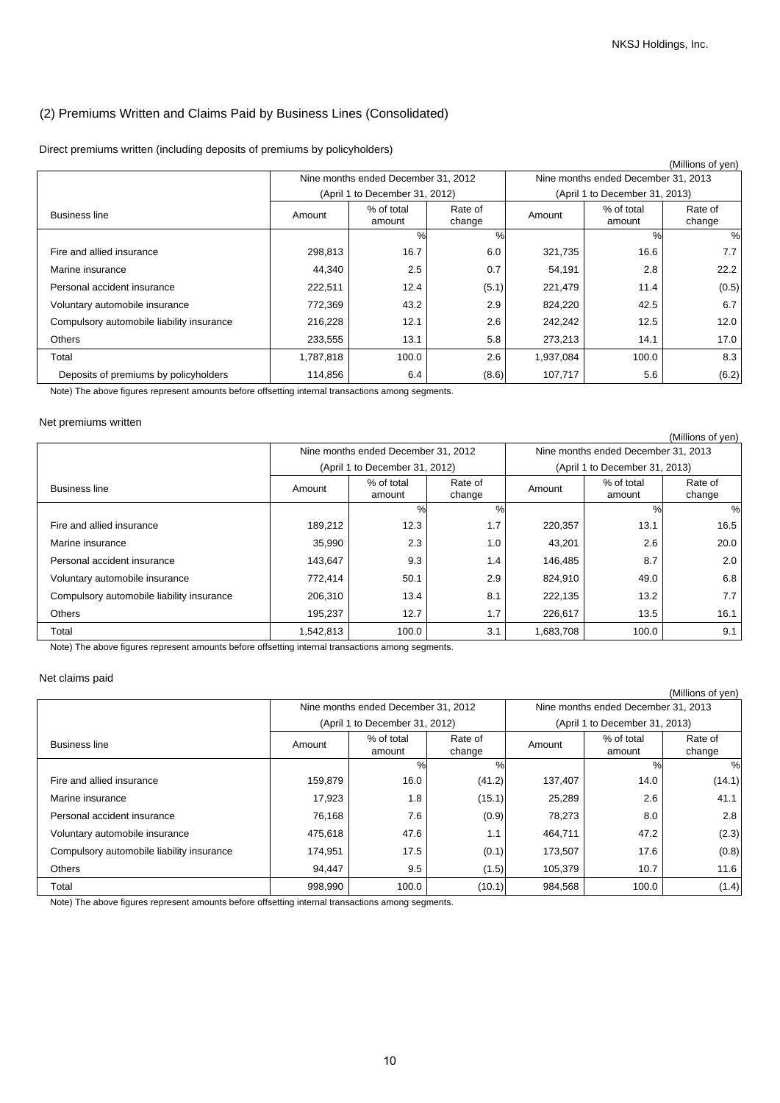## (2) Premiums Written and Claims Paid by Business Lines (Consolidated)

Direct premiums written (including deposits of premiums by policyholders)

|                                           |           |                                     |                   |           |                                     | (Millions of yen) |  |
|-------------------------------------------|-----------|-------------------------------------|-------------------|-----------|-------------------------------------|-------------------|--|
|                                           |           | Nine months ended December 31, 2012 |                   |           | Nine months ended December 31, 2013 |                   |  |
|                                           |           | (April 1 to December 31, 2012)      |                   |           | (April 1 to December 31, 2013)      |                   |  |
| <b>Business line</b>                      | Amount    | % of total<br>amount                | Rate of<br>change | Amount    | % of total<br>amount                | Rate of<br>change |  |
|                                           |           | %                                   | %                 |           | $\%$                                | %                 |  |
| Fire and allied insurance                 | 298,813   | 16.7                                | 6.0               | 321,735   | 16.6                                | 7.7 <sub>1</sub>  |  |
| Marine insurance                          | 44,340    | 2.5                                 | 0.7               | 54,191    | 2.8                                 | 22.2              |  |
| Personal accident insurance               | 222,511   | 12.4                                | (5.1)             | 221,479   | 11.4                                | (0.5)             |  |
| Voluntary automobile insurance            | 772,369   | 43.2                                | 2.9               | 824,220   | 42.5                                | 6.7               |  |
| Compulsory automobile liability insurance | 216,228   | 12.1                                | 2.6               | 242,242   | 12.5                                | 12.0              |  |
| Others                                    | 233,555   | 13.1                                | 5.8               | 273,213   | 14.1                                | 17.0              |  |
| Total                                     | 1,787,818 | 100.0                               | 2.6               | 1,937,084 | 100.0                               | 8.3               |  |
| Deposits of premiums by policyholders     | 114,856   | 6.4                                 | (8.6)             | 107,717   | 5.6                                 | (6.2)             |  |

Note) The above figures represent amounts before offsetting internal transactions among segments.

### Net premiums written

| Nine months ended December 31, 2012<br>Nine months ended December 31, 2013<br>(April 1 to December 31, 2012)<br>(April 1 to December 31, 2013) |  |  |  | (Millions of yen) |  |
|------------------------------------------------------------------------------------------------------------------------------------------------|--|--|--|-------------------|--|
|                                                                                                                                                |  |  |  |                   |  |
|                                                                                                                                                |  |  |  |                   |  |
| % of total<br>% of total<br>Rate of<br>Rate of<br><b>Business line</b><br>Amount<br>Amount<br>change<br>change<br>amount<br>amount             |  |  |  |                   |  |
| $\%$<br>%<br>%                                                                                                                                 |  |  |  | %                 |  |
| 12.3<br>1.7<br>189,212<br>13.1<br>Fire and allied insurance<br>220,357                                                                         |  |  |  | 16.5              |  |
| 2.3<br>35,990<br>1.0<br>2.6<br>43,201<br>Marine insurance                                                                                      |  |  |  | 20.0              |  |
| 9.3<br>1.4<br>8.7<br>Personal accident insurance<br>143,647<br>146,485                                                                         |  |  |  | 2.0               |  |
| 50.1<br>2.9<br>Voluntary automobile insurance<br>772,414<br>49.0<br>824,910                                                                    |  |  |  | 6.8               |  |
| Compulsory automobile liability insurance<br>206,310<br>13.4<br>8.1<br>13.2<br>222,135                                                         |  |  |  | 7.7               |  |
| 12.7<br>1.7<br><b>Others</b><br>195,237<br>13.5<br>226,617                                                                                     |  |  |  | 16.1              |  |
| 3.1<br>1,542,813<br>100.0<br>100.0<br>Total<br>1,683,708                                                                                       |  |  |  | 9.1               |  |

Note) The above figures represent amounts before offsetting internal transactions among segments.

### Net claims paid

|                                           |         |                                     |                   |         |                                     | (Millions of yen) |
|-------------------------------------------|---------|-------------------------------------|-------------------|---------|-------------------------------------|-------------------|
|                                           |         | Nine months ended December 31, 2012 |                   |         | Nine months ended December 31, 2013 |                   |
|                                           |         | (April 1 to December 31, 2012)      |                   |         | (April 1 to December 31, 2013)      |                   |
| <b>Business line</b>                      | Amount  | % of total<br>amount                | Rate of<br>change | Amount  | % of total<br>amount                | Rate of<br>change |
|                                           |         | %                                   | %                 |         | %                                   | %                 |
| Fire and allied insurance                 | 159,879 | 16.0                                | (41.2)            | 137,407 | 14.0                                | (14.1)            |
| Marine insurance                          | 17,923  | 1.8                                 | (15.1)            | 25,289  | 2.6                                 | 41.1              |
| Personal accident insurance               | 76,168  | 7.6                                 | (0.9)             | 78,273  | 8.0                                 | 2.8               |
| Voluntary automobile insurance            | 475,618 | 47.6                                | 1.1               | 464,711 | 47.2                                | (2.3)             |
| Compulsory automobile liability insurance | 174,951 | 17.5                                | (0.1)             | 173,507 | 17.6                                | (0.8)             |
| Others                                    | 94,447  | 9.5                                 | (1.5)             | 105,379 | 10.7                                | 11.6              |
| Total                                     | 998,990 | 100.0                               | (10.1)            | 984,568 | 100.0                               | (1.4)             |

Note) The above figures represent amounts before offsetting internal transactions among segments.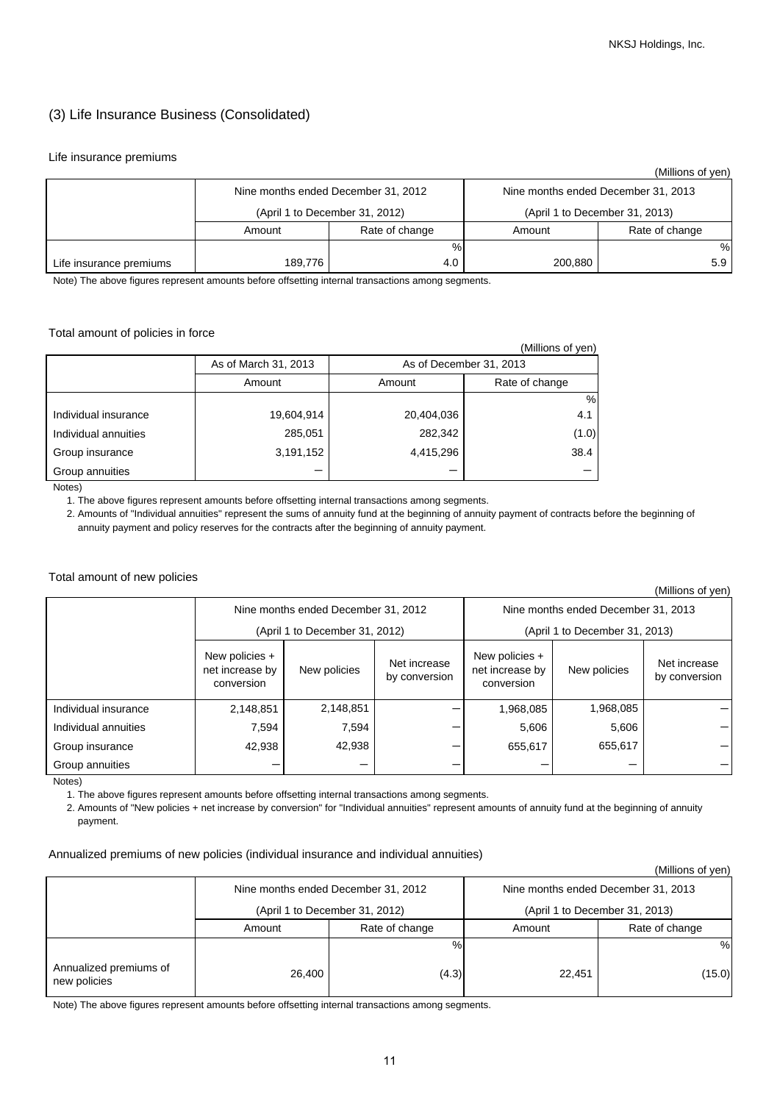## (3) Life Insurance Business (Consolidated)

### Life insurance premiums

|                         |         |                                     |         | (Millions of yen)                   |
|-------------------------|---------|-------------------------------------|---------|-------------------------------------|
|                         |         | Nine months ended December 31, 2012 |         | Nine months ended December 31, 2013 |
|                         |         | (April 1 to December 31, 2012)      |         | (April 1 to December 31, 2013)      |
|                         | Amount  | Rate of change                      | Amount  | Rate of change                      |
|                         |         | %                                   |         | %                                   |
| Life insurance premiums | 189,776 | 4.0                                 | 200,880 | 5.9                                 |

Note) The above figures represent amounts before offsetting internal transactions among segments.

### Total amount of policies in force

|                             |                      |                         | (Millions of yen) |
|-----------------------------|----------------------|-------------------------|-------------------|
|                             | As of March 31, 2013 | As of December 31, 2013 |                   |
|                             | Amount               | Amount                  | Rate of change    |
|                             |                      |                         | %                 |
| Individual insurance        | 19,604,914           | 20,404,036              | 4.1               |
| Individual annuities        | 285,051              | 282,342                 | (1.0)             |
| Group insurance             | 3,191,152            | 4,415,296               | 38.4              |
| Group annuities<br>$\cdots$ |                      |                         |                   |

Notes)

1. The above figures represent amounts before offsetting internal transactions among segments.

 2. Amounts of "Individual annuities" represent the sums of annuity fund at the beginning of annuity payment of contracts before the beginning of annuity payment and policy reserves for the contracts after the beginning of annuity payment.

#### Total amount of new policies

(Millions of yen)

|                      |                                                                                                  | Nine months ended December 31, 2012 |                                                 | Nine months ended December 31, 2013 |                               |  |  |
|----------------------|--------------------------------------------------------------------------------------------------|-------------------------------------|-------------------------------------------------|-------------------------------------|-------------------------------|--|--|
|                      |                                                                                                  | (April 1 to December 31, 2012)      |                                                 | (April 1 to December 31, 2013)      |                               |  |  |
|                      | New policies +<br>Net increase<br>net increase by<br>New policies<br>by conversion<br>conversion |                                     | New policies +<br>net increase by<br>conversion | New policies                        | Net increase<br>by conversion |  |  |
| Individual insurance | 2,148,851                                                                                        | 2,148,851                           |                                                 | 1,968,085                           | 1,968,085                     |  |  |
| Individual annuities | 7,594                                                                                            | 7,594                               |                                                 | 5,606                               | 5,606                         |  |  |
| Group insurance      | 42,938                                                                                           | 42,938                              |                                                 | 655,617                             | 655,617                       |  |  |
| Group annuities      |                                                                                                  |                                     |                                                 |                                     |                               |  |  |

Notes)

1. The above figures represent amounts before offsetting internal transactions among segments.

 2. Amounts of "New policies + net increase by conversion" for "Individual annuities" represent amounts of annuity fund at the beginning of annuity payment.

### Annualized premiums of new policies (individual insurance and individual annuities)

|                                        |        |                                     |        | (Millions of yen)                   |
|----------------------------------------|--------|-------------------------------------|--------|-------------------------------------|
|                                        |        | Nine months ended December 31, 2012 |        | Nine months ended December 31, 2013 |
|                                        |        | (April 1 to December 31, 2012)      |        | (April 1 to December 31, 2013)      |
|                                        | Amount | Rate of change                      | Amount | Rate of change                      |
|                                        |        | %                                   |        | %                                   |
| Annualized premiums of<br>new policies | 26,400 | (4.3)                               | 22,451 | (15.0)                              |

Note) The above figures represent amounts before offsetting internal transactions among segments.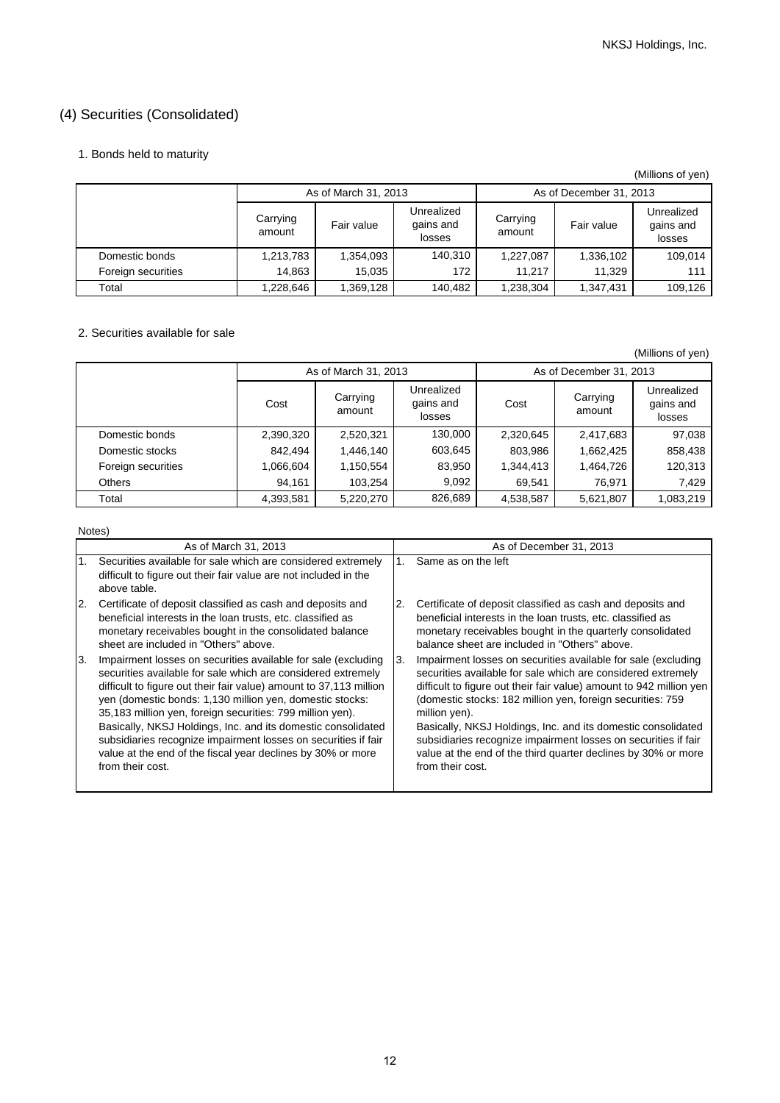## (4) Securities (Consolidated)

## 1. Bonds held to maturity

|                    |                    |                      |                                   |                    |                         | (Millions of yen)                 |
|--------------------|--------------------|----------------------|-----------------------------------|--------------------|-------------------------|-----------------------------------|
|                    |                    | As of March 31, 2013 |                                   |                    | As of December 31, 2013 |                                   |
|                    | Carrying<br>amount | Fair value           | Unrealized<br>gains and<br>losses | Carrying<br>amount | Fair value              | Unrealized<br>gains and<br>losses |
| Domestic bonds     | 1,213,783          | 1,354,093            | 140,310                           | 1,227,087          | 1,336,102               | 109,014                           |
| Foreign securities | 14,863             | 15.035               | 172                               | 11.217             | 11.329                  | 111                               |
| Total              | 1,228,646          | 1,369,128            | 140,482                           | 1,238,304          | 1,347,431               | 109,126                           |

## 2. Securities available for sale

(Millions of yen)

|                    |                            | As of March 31, 2013 |                                   | As of December 31, 2013 |                    |                                   |  |
|--------------------|----------------------------|----------------------|-----------------------------------|-------------------------|--------------------|-----------------------------------|--|
|                    | Carrying<br>Cost<br>amount |                      | Unrealized<br>gains and<br>losses | Cost                    | Carrying<br>amount | Unrealized<br>gains and<br>losses |  |
| Domestic bonds     | 2,390,320                  | 2,520,321            | 130,000                           | 2,320,645               | 2,417,683          | 97,038                            |  |
| Domestic stocks    | 842.494                    | 1,446,140            | 603,645                           | 803,986                 | 1,662,425          | 858,438                           |  |
| Foreign securities | 1,066,604                  | 1,150,554            | 83,950                            | 1.344.413               | 1,464,726          | 120,313                           |  |
| <b>Others</b>      | 94,161                     | 103.254              | 9,092                             | 69,541                  | 76.971             | 7,429                             |  |
| Total              | 4,393,581                  | 5,220,270            | 826,689                           | 4,538,587               | 5,621,807          | 1,083,219                         |  |

Notes)

| As of March 31, 2013                                                                                                                             | As of December 31, 2013                                             |
|--------------------------------------------------------------------------------------------------------------------------------------------------|---------------------------------------------------------------------|
| Securities available for sale which are considered extremely<br>difficult to figure out their fair value are not included in the<br>above table. | Same as on the left<br>1.                                           |
| 2.                                                                                                                                               | Certificate of deposit classified as cash and deposits and          |
| Certificate of deposit classified as cash and deposits and                                                                                       | 2.                                                                  |
| beneficial interests in the loan trusts, etc. classified as                                                                                      | beneficial interests in the loan trusts, etc. classified as         |
| monetary receivables bought in the consolidated balance                                                                                          | monetary receivables bought in the quarterly consolidated           |
| sheet are included in "Others" above.                                                                                                            | balance sheet are included in "Others" above.                       |
| 3.                                                                                                                                               | Impairment losses on securities available for sale (excluding       |
| Impairment losses on securities available for sale (excluding                                                                                    | Β.                                                                  |
| securities available for sale which are considered extremely                                                                                     | securities available for sale which are considered extremely        |
| difficult to figure out their fair value) amount to 37,113 million                                                                               | difficult to figure out their fair value) amount to 942 million yen |
| yen (domestic bonds: 1,130 million yen, domestic stocks:                                                                                         | (domestic stocks: 182 million yen, foreign securities: 759          |
| 35,183 million yen, foreign securities: 799 million yen).                                                                                        | million yen).                                                       |
| Basically, NKSJ Holdings, Inc. and its domestic consolidated                                                                                     | Basically, NKSJ Holdings, Inc. and its domestic consolidated        |
| subsidiaries recognize impairment losses on securities if fair                                                                                   | subsidiaries recognize impairment losses on securities if fair      |
| value at the end of the fiscal year declines by 30% or more                                                                                      | value at the end of the third quarter declines by 30% or more       |
| from their cost.                                                                                                                                 | from their cost.                                                    |